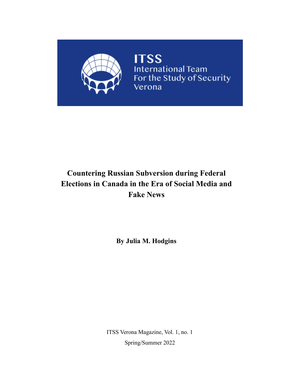

## **Countering Russian Subversion during Federal Elections in Canada in the Era of Social Media and Fake News**

**By Julia M. Hodgins**

ITSS Verona Magazine, Vol. 1, no. 1 Spring/Summer 2022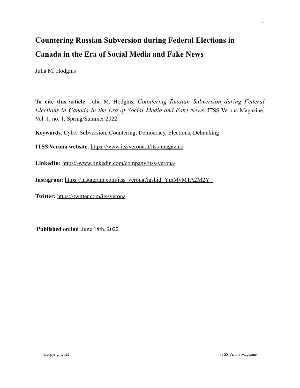# **Countering Russian Subversion during Federal Elections in Canada in the Era of Social Media and Fake News**

Julia M. Hodgins

**To cite this article**: Julia M. Hodgins, *Countering Russian Subversion during Federal Elections in Canada in the Era of Social Media and Fake News*, ITSS Verona Magazine, Vol. 1, no. 1, Spring/Summer 2022.

**Keywords**: Cyber Subversion, Countering, Democracy, Elections, Debunking

**ITSS Verona website**:<https://www.itssverona.it/itss-magazine>

**LinkedIn:** <https://www.linkedin.com/company/itss-verona/>

**Instagram:** [https://instagram.com/itss\\_verona?igshid=YmMyMTA2M2Y=](https://instagram.com/itss_verona?igshid=YmMyMTA2M2Y=)

**Twitter:** <https://twitter.com/itssverona>

**Published online**: June 18th, 2022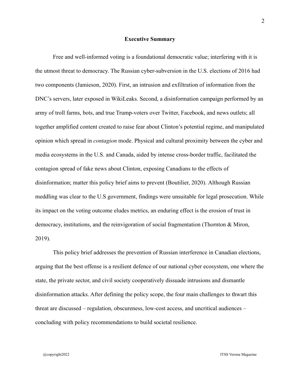#### **Executive Summary**

Free and well-informed voting is a foundational democratic value; interfering with it is the utmost threat to democracy. The Russian cyber-subversion in the U.S. elections of 2016 had two components (Jamieson, 2020). First, an intrusion and exfiltration of information from the DNC's servers, later exposed in WikiLeaks. Second, a disinformation campaign performed by an army of troll farms, bots, and true Trump-voters over Twitter, Facebook, and news outlets; all together amplified content created to raise fear about Clinton's potential regime, and manipulated opinion which spread in *contagion* mode. Physical and cultural proximity between the cyber and media ecosystems in the U.S. and Canada, aided by intense cross-border traffic, facilitated the contagion spread of fake news about Clinton, exposing Canadians to the effects of disinformation; matter this policy brief aims to prevent (Boutilier, 2020). Although Russian meddling was clear to the U.S government, findings were unsuitable for legal prosecution. While its impact on the voting outcome eludes metrics, an enduring effect is the erosion of trust in democracy, institutions, and the reinvigoration of social fragmentation (Thornton & Miron, 2019).

This policy brief addresses the prevention of Russian interference in Canadian elections, arguing that the best offense is a resilient defence of our national cyber ecosystem, one where the state, the private sector, and civil society cooperatively dissuade intrusions and dismantle disinformation attacks. After defining the policy scope, the four main challenges to thwart this threat are discussed – regulation, obscureness, low-cost access, and uncritical audiences – concluding with policy recommendations to build societal resilience.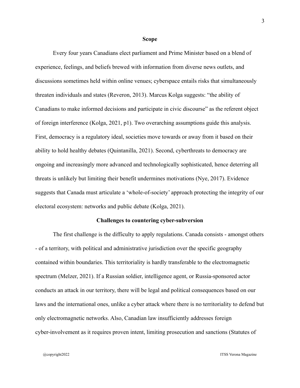#### **Scope**

Every four years Canadians elect parliament and Prime Minister based on a blend of experience, feelings, and beliefs brewed with information from diverse news outlets, and discussions sometimes held within online venues; cyberspace entails risks that simultaneously threaten individuals and states (Reveron, 2013). Marcus Kolga suggests: "the ability of Canadians to make informed decisions and participate in civic discourse" as the referent object of foreign interference (Kolga, 2021, p1). Two overarching assumptions guide this analysis. First, democracy is a regulatory ideal, societies move towards or away from it based on their ability to hold healthy debates (Quintanilla, 2021). Second, cyberthreats to democracy are ongoing and increasingly more advanced and technologically sophisticated, hence deterring all threats is unlikely but limiting their benefit undermines motivations (Nye, 2017). Evidence suggests that Canada must articulate a 'whole-of-society' approach protecting the integrity of our electoral ecosystem: networks and public debate (Kolga, 2021).

## **Challenges to countering cyber-subversion**

The first challenge is the difficulty to apply regulations. Canada consists - amongst others - of a territory, with political and administrative jurisdiction over the specific geography contained within boundaries. This territoriality is hardly transferable to the electromagnetic spectrum (Melzer, 2021). If a Russian soldier, intelligence agent, or Russia-sponsored actor conducts an attack in our territory, there will be legal and political consequences based on our laws and the international ones, unlike a cyber attack where there is no territoriality to defend but only electromagnetic networks. Also, Canadian law insufficiently addresses foreign cyber-involvement as it requires proven intent, limiting prosecution and sanctions (Statutes of

@copyright2022 ITSS Verona Magazine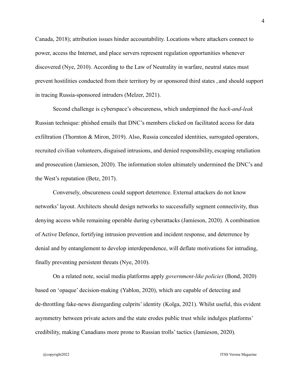Canada, 2018); attribution issues hinder accountability. Locations where attackers connect to power, access the Internet, and place servers represent regulation opportunities whenever discovered (Nye, 2010). According to the Law of Neutrality in warfare, neutral states must prevent hostilities conducted from their territory by or sponsored third states , and should support in tracing Russia-sponsored intruders (Melzer, 2021).

Second challenge is cyberspace's obscureness, which underpinned the *hack-and-leak* Russian technique: phished emails that DNC's members clicked on facilitated access for data exfiltration (Thornton & Miron, 2019). Also, Russia concealed identities, surrogated operators, recruited civilian volunteers, disguised intrusions, and denied responsibility, escaping retaliation and prosecution (Jamieson, 2020). The information stolen ultimately undermined the DNC's and the West's reputation (Betz, 2017).

Conversely, obscureness could support deterrence. External attackers do not know networks' layout. Architects should design networks to successfully segment connectivity, thus denying access while remaining operable during cyberattacks (Jamieson, 2020). A combination of Active Defence, fortifying intrusion prevention and incident response, and deterrence by denial and by entanglement to develop interdependence, will deflate motivations for intruding, finally preventing persistent threats (Nye, 2010).

On a related note, social media platforms apply *government-like policies* (Bond, 2020) based on 'opaque' decision-making (Yablon, 2020), which are capable of detecting and de-throttling fake-news disregarding culprits' identity (Kolga, 2021). Whilst useful, this evident asymmetry between private actors and the state erodes public trust while indulges platforms' credibility, making Canadians more prone to Russian trolls' tactics (Jamieson, 2020).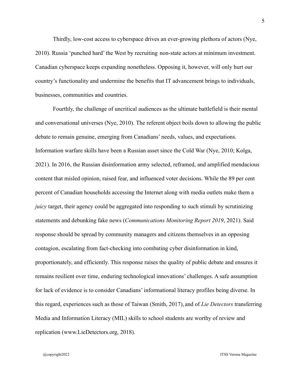Thirdly, low-cost access to cyberspace drives an ever-growing plethora of actors (Nye, 2010). Russia 'punched hard' the West by recruiting non-state actors at minimum investment. Canadian cyberspace keeps expanding nonetheless. Opposing it, however, will only hurt our country's functionality and undermine the benefits that IT advancement brings to individuals, businesses, communities and countries.

Fourthly, the challenge of uncritical audiences as the ultimate battlefield is their mental and conversational universes (Nye, 2010). The referent object boils down to allowing the public debate to remain genuine, emerging from Canadians' needs, values, and expectations. Information warfare skills have been a Russian asset since the Cold War (Nye, 2010; Kolga, 2021). In 2016, the Russian disinformation army selected, reframed, and amplified mendacious content that misled opinion, raised fear, and influenced voter decisions. While the 89 per cent percent of Canadian households accessing the Internet along with media outlets make them a *juicy* target, their agency could be aggregated into responding to such stimuli by scrutinizing statements and debunking fake news (*Communications Monitoring Report 2019*, 2021). Said response should be spread by community managers and citizens themselves in an opposing contagion, escalating from fact-checking into combating cyber disinformation in kind, proportionately, and efficiently. This response raises the quality of public debate and ensures it remains resilient over time, enduring technological innovations' challenges. A safe assumption for lack of evidence is to consider Canadians' informational literacy profiles being diverse. In this regard, experiences such as those of Taiwan (Smith, 2017), and of *Lie Detectors* transferring Media and Information Literacy (MIL) skills to school students are worthy of review and replication (www.LieDetectors.org, 2018).

@copyright2022 ITSS Verona Magazine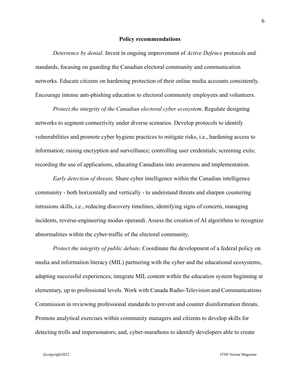#### **Policy recommendations**

*Deterrence by denial.* Invest in ongoing improvement of *Active Defence* protocols and standards, focusing on guarding the Canadian electoral community and communication networks. Educate citizens on hardening protection of their online media accounts consistently. Encourage intense anti-phishing education to electoral community employees and volunteers.

*Protect the integrity of the Canadian electoral cyber ecosystem*. Regulate designing networks to segment connectivity under diverse scenarios. Develop protocols to identify vulnerabilities and promote cyber hygiene practices to mitigate risks, i.e., hardening access to information; raising encryption and surveillance; controlling user credentials; screening exits; recording the use of applications, educating Canadians into awareness and implementation.

*Early detection of threats.* Share cyber intelligence within the Canadian intelligence community - both horizontally and vertically - to understand threats and sharpen countering intrusions skills, i.e., reducing discovery timelines, identifying signs of concern, managing incidents, reverse-engineering modus operandi. Assess the creation of AI algorithms to recognize abnormalities within the cyber-traffic of the electoral community.

*Protect the integrity of public debate*. Coordinate the development of a federal policy on media and information literacy (MIL) partnering with the cyber and the educational ecosystems, adapting successful experiences; integrate MIL content within the education system beginning at elementary, up to professional levels. Work with Canada Radio-Television and Communications Commission in reviewing professional standards to prevent and counter disinformation threats. Promote analytical exercises within community managers and citizens to develop skills for detecting trolls and impersonators; and, cyber-marathons to identify developers able to create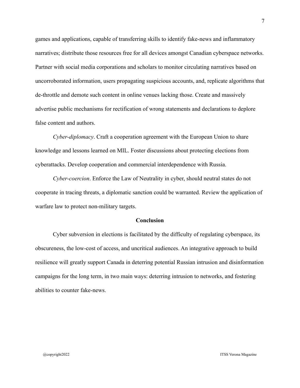games and applications, capable of transferring skills to identify fake-news and inflammatory narratives; distribute those resources free for all devices amongst Canadian cyberspace networks. Partner with social media corporations and scholars to monitor circulating narratives based on uncorroborated information, users propagating suspicious accounts, and, replicate algorithms that de-throttle and demote such content in online venues lacking those. Create and massively advertise public mechanisms for rectification of wrong statements and declarations to deplore false content and authors.

*Cyber-diplomacy*. Craft a cooperation agreement with the European Union to share knowledge and lessons learned on MIL. Foster discussions about protecting elections from cyberattacks. Develop cooperation and commercial interdependence with Russia.

*Cyber-coercion*. Enforce the Law of Neutrality in cyber, should neutral states do not cooperate in tracing threats, a diplomatic sanction could be warranted. Review the application of warfare law to protect non-military targets.

### **Conclusion**

Cyber subversion in elections is facilitated by the difficulty of regulating cyberspace, its obscureness, the low-cost of access, and uncritical audiences. An integrative approach to build resilience will greatly support Canada in deterring potential Russian intrusion and disinformation campaigns for the long term, in two main ways: deterring intrusion to networks, and fostering abilities to counter fake-news.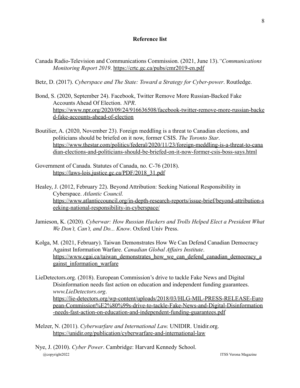## **Reference list**

- Canada Radio-Television and Communications Commission. (2021, June 13).*"Communications Monitoring Report 2019*. <https://crtc.gc.ca/pubs/cmr2019-en.pdf>
- Betz, D. (2017). *Cyberspace and The State: Toward a Strategy for Cyber-power*. Routledge.
- Bond, S. (2020, September 24). Facebook, Twitter Remove More Russian-Backed Fake Accounts Ahead Of Election. *NPR*. [https://www.npr.org/2020/09/24/916636508/facebook-twitter-remove-more-russian-backe](https://www.npr.org/2020/09/24/916636508/facebook-twitter-remove-more-russian-backed-fake-accounts-ahead-of-election) [d-fake-accounts-ahead-of-election](https://www.npr.org/2020/09/24/916636508/facebook-twitter-remove-more-russian-backed-fake-accounts-ahead-of-election)
- Boutilier, A. (2020, November 23). Foreign meddling is a threat to Canadian elections, and politicians should be briefed on it now, former CSIS. *The Toronto Star*. [https://www.thestar.com/politics/federal/2020/11/23/foreign-meddling-is-a-threat-to-cana](https://www.thestar.com/politics/federal/2020/11/23/foreign-meddling-is-a-threat-to-canadian-elections-and-politicians-should-be-briefed-on-it-now-former-csis-boss-says.html) [dian-elections-and-politicians-should-be-briefed-on-it-now-former-csis-boss-says.html](https://www.thestar.com/politics/federal/2020/11/23/foreign-meddling-is-a-threat-to-canadian-elections-and-politicians-should-be-briefed-on-it-now-former-csis-boss-says.html)
- Government of Canada. Statutes of Canada, no. C-76 (2018). [https://laws-lois.justice.gc.ca/PDF/2018\\_31.pdf](https://laws-lois.justice.gc.ca/PDF/2018_31.pdf)
- Healey, J. (2012, February 22). Beyond Attribution: Seeking National Responsibility in Cyberspace. *Atlantic Council.* [https://www.atlanticcouncil.org/in-depth-research-reports/issue-brief/beyond-attribution-s](https://www.atlanticcouncil.org/in-depth-research-reports/issue-brief/beyond-attribution-seeking-national-responsibility-in-cyberspace/) [eeking-national-responsibility-in-cyberspace/](https://www.atlanticcouncil.org/in-depth-research-reports/issue-brief/beyond-attribution-seeking-national-responsibility-in-cyberspace/)
- Jamieson, K. (2020). *Cyberwar: How Russian Hackers and Trolls Helped Elect a President What We Don't, Can't, and Do... Know*. Oxford Univ Press.
- Kolga, M. (2021, February). Taiwan Demonstrates How We Can Defend Canadian Democracy Against Information Warfare. *Canadian Global Affairs Institute*. [https://www.cgai.ca/taiwan\\_demonstrates\\_how\\_we\\_can\\_defend\\_canadian\\_democracy\\_a](https://www.cgai.ca/taiwan_demonstrates_how_we_can_defend_canadian_democracy_against_information_warfare) [gainst\\_information\\_warfare](https://www.cgai.ca/taiwan_demonstrates_how_we_can_defend_canadian_democracy_against_information_warfare)
- LieDetectors.org. (2018). European Commission's drive to tackle Fake News and Digital Disinformation needs fast action on education and independent funding guarantees. *www.LieDetectors.org*. [https://lie-detectors.org/wp-content/uploads/2018/03/HLG-MIL-PRESS-RELEASE-Euro](https://lie-detectors.org/wp-content/uploads/2018/03/HLG-MIL-PRESS-RELEASE-European-Commission%E2%80%99s-drive-to-tackle-Fake-News-and-Digital-Disinformation-needs-fast-action-on-education-and-independent-funding-guarantees.pdf) [pean-Commission%E2%80%99s-drive-to-tackle-Fake-News-and-Digital-Disinformation](https://lie-detectors.org/wp-content/uploads/2018/03/HLG-MIL-PRESS-RELEASE-European-Commission%E2%80%99s-drive-to-tackle-Fake-News-and-Digital-Disinformation-needs-fast-action-on-education-and-independent-funding-guarantees.pdf) [-needs-fast-action-on-education-and-independent-funding-guarantees.pdf](https://lie-detectors.org/wp-content/uploads/2018/03/HLG-MIL-PRESS-RELEASE-European-Commission%E2%80%99s-drive-to-tackle-Fake-News-and-Digital-Disinformation-needs-fast-action-on-education-and-independent-funding-guarantees.pdf)
- Melzer, N. (2011). *Cyberwarfare and International Law.* UNIDIR. Unidir.org. <https://unidir.org/publication/cyberwarfare-and-international-law>
- Nye, J. (2010). *Cyber Power*. Cambridge: Harvard Kennedy School. @copyright2022 ITSS Verona Magazine

8